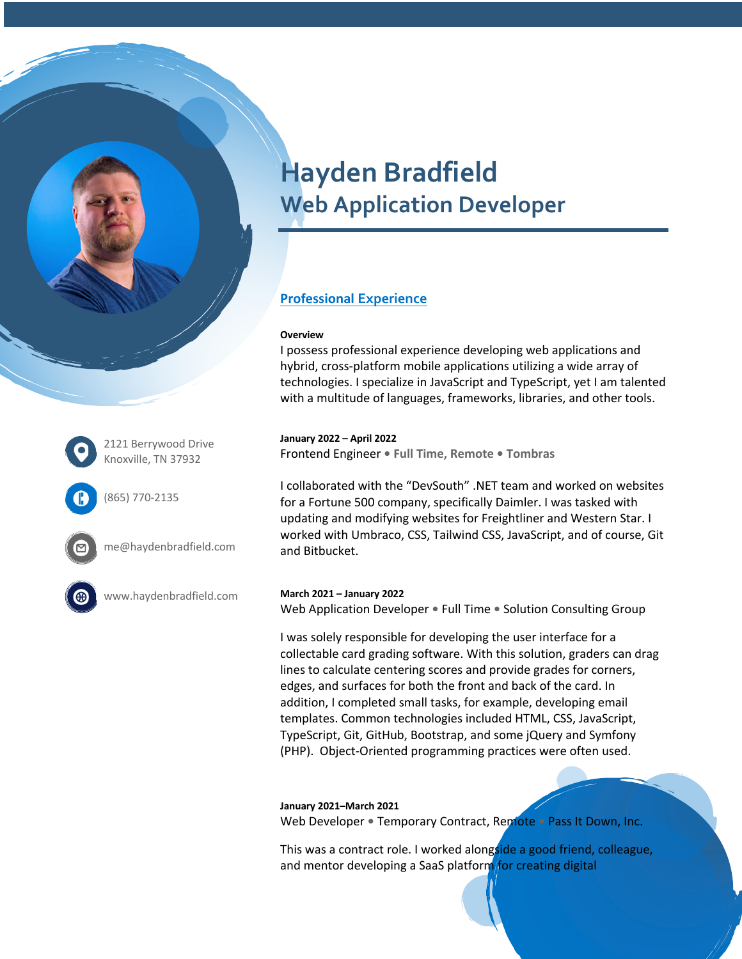



2121 Berrywood Drive Knoxville, TN 37932

(865) 770-2135

me@haydenbradfield.com

www.haydenbradfield.com

#### **March 2021 – January 2022**

Web Application Developer **•** Full Time **•** Solution Consulting Group

I was solely responsible for developing the user interface for a collectable card grading software. With this solution, graders can drag lines to calculate centering scores and provide grades for corners, edges, and surfaces for both the front and back of the card. In addition, I completed small tasks, for example, developing email templates. Common technologies included HTML, CSS, JavaScript, TypeScript, Git, GitHub, Bootstrap, and some jQuery and Symfony (PHP). Object-Oriented programming practices were often used.

#### **January 2021–March 2021**

Web Developer **•** Temporary Contract, Remote **•** Pass It Down, Inc.

This was a contract role. I worked alongside a good friend, colleague, and mentor developing a SaaS platform for creating digital

# **Hayden Bradfield Web Application Developer**

## **Professional Experience**

#### **Overview**

I possess professional experience developing web applications and hybrid, cross-platform mobile applications utilizing a wide array of technologies. I specialize in JavaScript and TypeScript, yet I am talented with a multitude of languages, frameworks, libraries, and other tools.

#### **January 2022 – April 2022**

Frontend Engineer **• Full Time, Remote • Tombras** 

I collaborated with the "DevSouth" .NET team and worked on websites for a Fortune 500 company, specifically Daimler. I was tasked with updating and modifying websites for Freightliner and Western Star. I worked with Umbraco, CSS, Tailwind CSS, JavaScript, and of course, Git and Bitbucket.